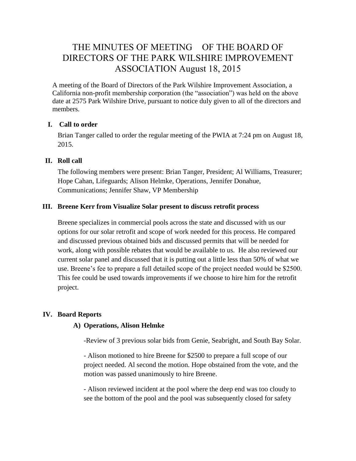# THE MINUTES OF MEETING OF THE BOARD OF DIRECTORS OF THE PARK WILSHIRE IMPROVEMENT ASSOCIATION August 18, 2015

A meeting of the Board of Directors of the Park Wilshire Improvement Association, a California non-profit membership corporation (the "association") was held on the above date at 2575 Park Wilshire Drive, pursuant to notice duly given to all of the directors and members.

### **I. Call to order**

Brian Tanger called to order the regular meeting of the PWIA at 7:24 pm on August 18, 2015.

### **II. Roll call**

The following members were present: Brian Tanger, President; Al Williams, Treasurer; Hope Cahan, Lifeguards; Alison Helmke, Operations, Jennifer Donahue, Communications; Jennifer Shaw, VP Membership

### **III. Breene Kerr from Visualize Solar present to discuss retrofit process**

Breene specializes in commercial pools across the state and discussed with us our options for our solar retrofit and scope of work needed for this process. He compared and discussed previous obtained bids and discussed permits that will be needed for work, along with possible rebates that would be available to us. He also reviewed our current solar panel and discussed that it is putting out a little less than 50% of what we use. Breene's fee to prepare a full detailed scope of the project needed would be \$2500. This fee could be used towards improvements if we choose to hire him for the retrofit project.

### **IV. Board Reports**

### **A) Operations, Alison Helmke**

-Review of 3 previous solar bids from Genie, Seabright, and South Bay Solar.

- Alison motioned to hire Breene for \$2500 to prepare a full scope of our project needed. Al second the motion. Hope obstained from the vote, and the motion was passed unanimously to hire Breene.

- Alison reviewed incident at the pool where the deep end was too cloudy to see the bottom of the pool and the pool was subsequently closed for safety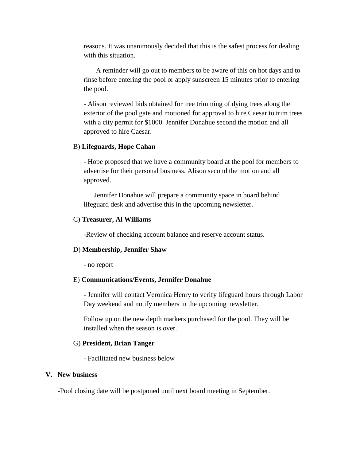reasons. It was unanimously decided that this is the safest process for dealing with this situation.

A reminder will go out to members to be aware of this on hot days and to rinse before entering the pool or apply sunscreen 15 minutes prior to entering the pool.

- Alison reviewed bids obtained for tree trimming of dying trees along the exterior of the pool gate and motioned for approval to hire Caesar to trim trees with a city permit for \$1000. Jennifer Donahue second the motion and all approved to hire Caesar.

#### B) **Lifeguards, Hope Cahan**

- Hope proposed that we have a community board at the pool for members to advertise for their personal business. Alison second the motion and all approved.

Jennifer Donahue will prepare a community space in board behind lifeguard desk and advertise this in the upcoming newsletter.

#### C) **Treasurer, Al Williams**

-Review of checking account balance and reserve account status.

#### D) **Membership, Jennifer Shaw**

- no report

#### E) **Communications/Events, Jennifer Donahue**

- Jennifer will contact Veronica Henry to verify lifeguard hours through Labor Day weekend and notify members in the upcoming newsletter.

Follow up on the new depth markers purchased for the pool. They will be installed when the season is over.

#### G) **President, Brian Tanger**

- Facilitated new business below

#### **V. New business**

-Pool closing date will be postponed until next board meeting in September.